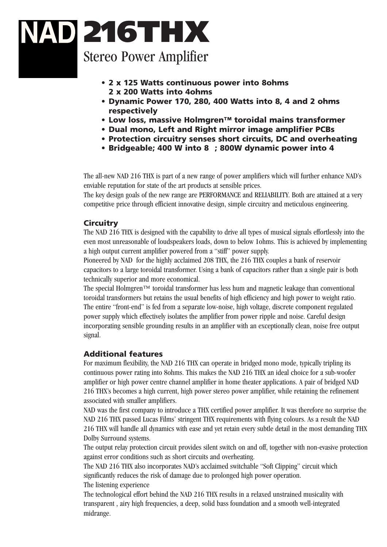# 216THX Stereo Power Amplifier

- 2 x 125 Watts continuous power into 8ohms 2 x 200 Watts into 4ohms
- Dynamic Power 170, 280, 400 Watts into 8, 4 and 2 ohms respectively
- Low loss, massive Holmgren™ toroidal mains transformer
- Dual mono, Left and Right mirror image amplifier PCBs
- Protection circuitry senses short circuits, DC and overheating
- Bridgeable; 400 W into 8 ; 800W dynamic power into 4

The all-new NAD 216 THX is part of a new range of power amplifiers which will further enhance NAD's enviable reputation for state of the art products at sensible prices.

The key design goals of the new range are PERFORMANCE and RELIABILITY. Both are attained at a very competitive price through efficient innovative design, simple circuitry and meticulous engineering.

#### **Circuitry**

The NAD 216 THX is designed with the capability to drive all types of musical signals effortlessly into the even most unreasonable of loudspeakers loads, down to below 1ohms. This is achieved by implementing a high output current amplifier powered from a "stiff" power supply.

Pioneered by NAD for the highly acclaimed 208 THX, the 216 THX couples a bank of reservoir capacitors to a large toroidal transformer. Using a bank of capacitors rather than a single pair is both technically superior and more economical.

The special Holmgren™ toroidal transformer has less hum and magnetic leakage than conventional toroidal transformers but retains the usual benefits of high efficiency and high power to weight ratio. The entire "front-end" is fed from a separate low-noise, high voltage, discrete component regulated power supply which effectively isolates the amplifier from power ripple and noise. Careful design incorporating sensible grounding results in an amplifier with an exceptionally clean, noise free output signal.

#### Additional features

For maximum flexibility, the NAD 216 THX can operate in bridged mono mode, typically tripling its continuous power rating into 8ohms. This makes the NAD 216 THX an ideal choice for a sub-woofer amplifier or high power centre channel amplifier in home theater applications. A pair of bridged NAD 216 THX's becomes a high current, high power stereo power amplifier, while retaining the refinement associated with smaller amplifiers.

NAD was the first company to introduce a THX certified power amplifier. It was therefore no surprise the NAD 216 THX passed Lucas Films' stringent THX requirements with flying colours. As a result the NAD 216 THX will handle all dynamics with ease and yet retain every subtle detail in the most demanding THX Dolby Surround systems.

The output relay protection circuit provides silent switch on and off, together with non-evasive protection against error conditions such as short circuits and overheating.

The NAD 216 THX also incorporates NAD's acclaimed switchable "Soft Clipping" circuit which significantly reduces the risk of damage due to prolonged high power operation.

The listening experience

The technological effort behind the NAD 216 THX results in a relaxed unstrained musicality with transparent , airy high frequencies, a deep, solid bass foundation and a smooth well-integrated midrange.